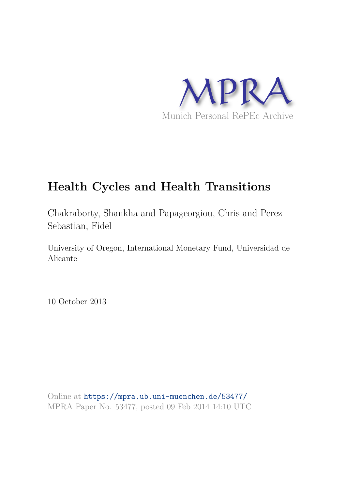

# **Health Cycles and Health Transitions**

Chakraborty, Shankha and Papageorgiou, Chris and Perez Sebastian, Fidel

University of Oregon, International Monetary Fund, Universidad de Alicante

10 October 2013

Online at https://mpra.ub.uni-muenchen.de/53477/ MPRA Paper No. 53477, posted 09 Feb 2014 14:10 UTC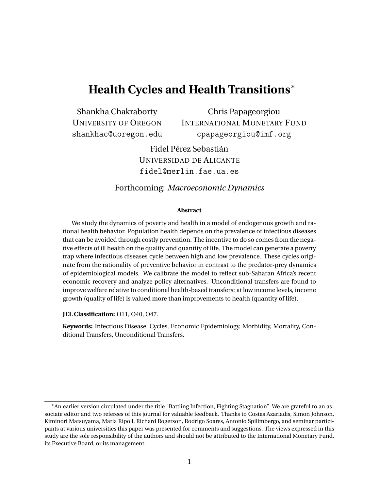## **Health Cycles and Health Transitions**<sup>∗</sup>

Shankha Chakraborty UNIVERSITY OF OREGON shankhac@uoregon.edu

Chris Papageorgiou INTERNATIONAL MONETARY FUND cpapageorgiou@imf.org

Fidel Pérez Sebastián UNIVERSIDAD DE ALICANTE fidel@merlin.fae.ua.es

### Forthcoming: *Macroeconomic Dynamics*

#### **Abstract**

We study the dynamics of poverty and health in a model of endogenous growth and rational health behavior. Population health depends on the prevalence of infectious diseases that can be avoided through costly prevention. The incentive to do so comes from the negative effects of ill health on the quality and quantity of life. The model can generate a poverty trap where infectious diseases cycle between high and low prevalence. These cycles originate from the rationality of preventive behavior in contrast to the predator-prey dynamics of epidemiological models. We calibrate the model to reflect sub-Saharan Africa's recent economic recovery and analyze policy alternatives. Unconditional transfers are found to improve welfare relative to conditional health-based transfers: at low income levels, income growth (quality of life) is valued more than improvements to health (quantity of life).

**JEL Classification:** O11, O40, O47.

**Keywords:** Infectious Disease, Cycles, Economic Epidemiology, Morbidity, Mortality, Conditional Transfers, Unconditional Transfers.

<sup>∗</sup>An earlier version circulated under the title "Battling Infection, Fighting Stagnation". We are grateful to an associate editor and two referees of this journal for valuable feedback. Thanks to Costas Azariadis, Simon Johnson, Kiminori Matsuyama, Marla Ripoll, Richard Rogerson, Rodrigo Soares, Antonio Spilimbergo, and seminar participants at various universities this paper was presented for comments and suggestions. The views expressed in this study are the sole responsibility of the authors and should not be attributed to the International Monetary Fund, its Executive Board, or its management.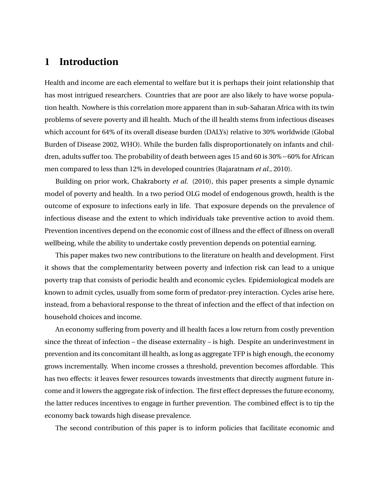## **1 Introduction**

Health and income are each elemental to welfare but it is perhaps their joint relationship that has most intrigued researchers. Countries that are poor are also likely to have worse population health. Nowhere is this correlation more apparent than in sub-Saharan Africa with its twin problems of severe poverty and ill health. Much of the ill health stems from infectious diseases which account for 64% of its overall disease burden (DALYs) relative to 30% worldwide (Global Burden of Disease 2002, WHO). While the burden falls disproportionately on infants and children, adults suffer too. The probability of death between ages 15 and 60 is 30%−60% for African men compared to less than 12% in developed countries (Rajaratnam *et al*., 2010).

Building on prior work, Chakraborty *et al.* (2010), this paper presents a simple dynamic model of poverty and health. In a two period OLG model of endogenous growth, health is the outcome of exposure to infections early in life. That exposure depends on the prevalence of infectious disease and the extent to which individuals take preventive action to avoid them. Prevention incentives depend on the economic cost of illness and the effect of illness on overall wellbeing, while the ability to undertake costly prevention depends on potential earning.

This paper makes two new contributions to the literature on health and development. First it shows that the complementarity between poverty and infection risk can lead to a unique poverty trap that consists of periodic health and economic cycles. Epidemiological models are known to admit cycles, usually from some form of predator-prey interaction. Cycles arise here, instead, from a behavioral response to the threat of infection and the effect of that infection on household choices and income.

An economy suffering from poverty and ill health faces a low return from costly prevention since the threat of infection – the disease externality – is high. Despite an underinvestment in prevention and its concomitant ill health, as long as aggregate TFP is high enough, the economy grows incrementally. When income crosses a threshold, prevention becomes affordable. This has two effects: it leaves fewer resources towards investments that directly augment future income and it lowers the aggregate risk of infection. The first effect depresses the future economy, the latter reduces incentives to engage in further prevention. The combined effect is to tip the economy back towards high disease prevalence.

The second contribution of this paper is to inform policies that facilitate economic and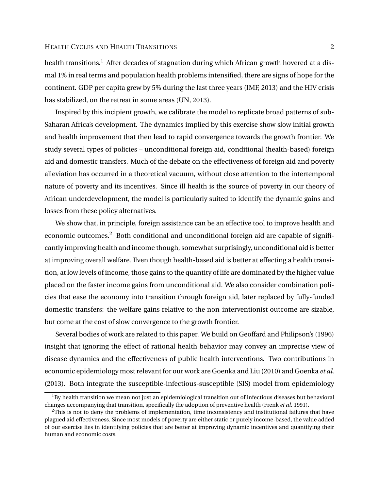health transitions.<sup>1</sup> After decades of stagnation during which African growth hovered at a dismal 1% in real terms and population health problems intensified, there are signs of hope for the continent. GDP per capita grew by 5% during the last three years (IMF, 2013) and the HIV crisis has stabilized, on the retreat in some areas (UN, 2013).

Inspired by this incipient growth, we calibrate the model to replicate broad patterns of sub-Saharan Africa's development. The dynamics implied by this exercise show slow initial growth and health improvement that then lead to rapid convergence towards the growth frontier. We study several types of policies – unconditional foreign aid, conditional (health-based) foreign aid and domestic transfers. Much of the debate on the effectiveness of foreign aid and poverty alleviation has occurred in a theoretical vacuum, without close attention to the intertemporal nature of poverty and its incentives. Since ill health is the source of poverty in our theory of African underdevelopment, the model is particularly suited to identify the dynamic gains and losses from these policy alternatives.

We show that, in principle, foreign assistance can be an effective tool to improve health and economic outcomes.<sup>2</sup> Both conditional and unconditional foreign aid are capable of significantly improving health and income though, somewhat surprisingly, unconditional aid is better at improving overall welfare. Even though health-based aid is better at effecting a health transition, at low levels of income, those gains to the quantity of life are dominated by the higher value placed on the faster income gains from unconditional aid. We also consider combination policies that ease the economy into transition through foreign aid, later replaced by fully-funded domestic transfers: the welfare gains relative to the non-interventionist outcome are sizable, but come at the cost of slow convergence to the growth frontier.

Several bodies of work are related to this paper. We build on Geoffard and Philipson's (1996) insight that ignoring the effect of rational health behavior may convey an imprecise view of disease dynamics and the effectiveness of public health interventions. Two contributions in economic epidemiology most relevant for our work are Goenka and Liu (2010) and Goenka *et al.* (2013). Both integrate the susceptible-infectious-susceptible (SIS) model from epidemiology

 $1By$  health transition we mean not just an epidemiological transition out of infectious diseases but behavioral changes accompanying that transition, specifically the adoption of preventive health (Frenk *et al.* 1991).

 $2$ This is not to deny the problems of implementation, time inconsistency and institutional failures that have plagued aid effectiveness. Since most models of poverty are either static or purely income-based, the value added of our exercise lies in identifying policies that are better at improving dynamic incentives and quantifying their human and economic costs.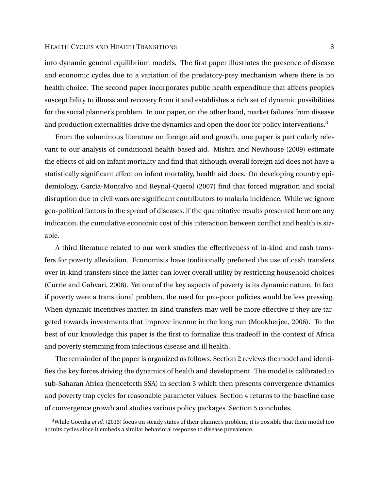into dynamic general equilibrium models. The first paper illustrates the presence of disease and economic cycles due to a variation of the predatory-prey mechanism where there is no health choice. The second paper incorporates public health expenditure that affects people's susceptibility to illness and recovery from it and establishes a rich set of dynamic possibilities for the social planner's problem. In our paper, on the other hand, market failures from disease and production externalities drive the dynamics and open the door for policy interventions.<sup>3</sup>

From the voluminous literature on foreign aid and growth, one paper is particularly relevant to our analysis of conditional health-based aid. Mishra and Newhouse (2009) estimate the effects of aid on infant mortality and find that although overall foreign aid does not have a statistically significant effect on infant mortality, health aid does. On developing country epidemiology, García-Montalvo and Reynal-Querol (2007) find that forced migration and social disruption due to civil wars are significant contributors to malaria incidence. While we ignore geo-political factors in the spread of diseases, if the quantitative results presented here are any indication, the cumulative economic cost of this interaction between conflict and health is sizable.

A third literature related to our work studies the effectiveness of in-kind and cash transfers for poverty alleviation. Economists have traditionally preferred the use of cash transfers over in-kind transfers since the latter can lower overall utility by restricting household choices (Currie and Gahvari, 2008). Yet one of the key aspects of poverty is its dynamic nature. In fact if poverty were a transitional problem, the need for pro-poor policies would be less pressing. When dynamic incentives matter, in-kind transfers may well be more effective if they are targeted towards investments that improve income in the long run (Mookherjee, 2006). To the best of our knowledge this paper is the first to formalize this tradeoff in the context of Africa and poverty stemming from infectious disease and ill health.

The remainder of the paper is organized as follows. Section 2 reviews the model and identifies the key forces driving the dynamics of health and development. The model is calibrated to sub-Saharan Africa (henceforth SSA) in section 3 which then presents convergence dynamics and poverty trap cycles for reasonable parameter values. Section 4 returns to the baseline case of convergence growth and studies various policy packages. Section 5 concludes.

<sup>&</sup>lt;sup>3</sup>While Goenka et al. (2013) focus on steady states of their planner's problem, it is possible that their model too admits cycles since it embeds a similar behavioral response to disease prevalence.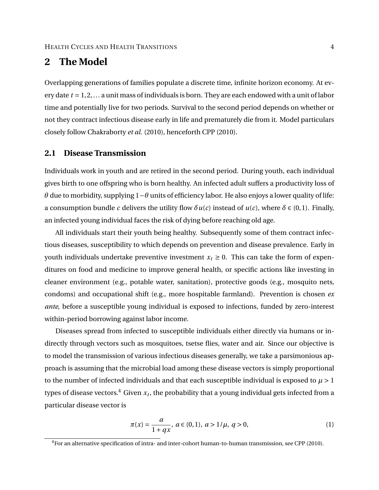## **2 The Model**

Overlapping generations of families populate a discrete time, infinite horizon economy. At every date *t* = 1, 2,... a unit mass of individuals is born. They are each endowed with a unit of labor time and potentially live for two periods. Survival to the second period depends on whether or not they contract infectious disease early in life and prematurely die from it. Model particulars closely follow Chakraborty *et al.* (2010), henceforth CPP (2010).

### **2.1 Disease Transmission**

Individuals work in youth and are retired in the second period. During youth, each individual gives birth to one offspring who is born healthy. An infected adult suffers a productivity loss of *θ* due to morbidity, supplying 1−*θ* units of efficiency labor. He also enjoys a lower quality of life: a consumption bundle *c* delivers the utility flow  $\delta u(c)$  instead of  $u(c)$ , where  $\delta \in (0,1)$ . Finally, an infected young individual faces the risk of dying before reaching old age.

All individuals start their youth being healthy. Subsequently some of them contract infectious diseases, susceptibility to which depends on prevention and disease prevalence. Early in youth individuals undertake preventive investment  $x_t \geq 0$ . This can take the form of expenditures on food and medicine to improve general health, or specific actions like investing in cleaner environment (e.g., potable water, sanitation), protective goods (e.g., mosquito nets, condoms) and occupational shift (e.g., more hospitable farmland). Prevention is chosen *ex ante*, before a susceptible young individual is exposed to infections, funded by zero-interest within-period borrowing against labor income.

Diseases spread from infected to susceptible individuals either directly via humans or indirectly through vectors such as mosquitoes, tsetse flies, water and air. Since our objective is to model the transmission of various infectious diseases generally, we take a parsimonious approach is assuming that the microbial load among these disease vectors is simply proportional to the number of infected individuals and that each susceptible individual is exposed to  $\mu > 1$ types of disease vectors. $^4$  Given  $x_t$ , the probability that a young individual gets infected from a particular disease vector is

$$
\pi(x) = \frac{a}{1 + qx}, \ a \in (0, 1), \ a > 1/\mu, \ q > 0,
$$
\n(1)

 ${}^{4}$  For an alternative specification of intra- and inter-cohort human-to-human transmission, see CPP (2010).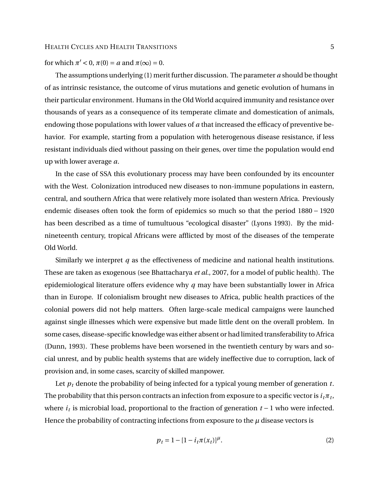for which  $\pi' < 0$ ,  $\pi(0) = a$  and  $\pi(\infty) = 0$ .

The assumptions underlying (1) merit further discussion. The parameter *a* should be thought of as intrinsic resistance, the outcome of virus mutations and genetic evolution of humans in their particular environment. Humans in the Old World acquired immunity and resistance over thousands of years as a consequence of its temperate climate and domestication of animals, endowing those populations with lower values of *a* that increased the efficacy of preventive behavior. For example, starting from a population with heterogenous disease resistance, if less resistant individuals died without passing on their genes, over time the population would end up with lower average *a*.

In the case of SSA this evolutionary process may have been confounded by its encounter with the West. Colonization introduced new diseases to non-immune populations in eastern, central, and southern Africa that were relatively more isolated than western Africa. Previously endemic diseases often took the form of epidemics so much so that the period 1880 − 1920 has been described as a time of tumultuous "ecological disaster" (Lyons 1993). By the midnineteenth century, tropical Africans were afflicted by most of the diseases of the temperate Old World.

Similarly we interpret *q* as the effectiveness of medicine and national health institutions. These are taken as exogenous (see Bhattacharya *et al.*, 2007, for a model of public health). The epidemiological literature offers evidence why *q* may have been substantially lower in Africa than in Europe. If colonialism brought new diseases to Africa, public health practices of the colonial powers did not help matters. Often large-scale medical campaigns were launched against single illnesses which were expensive but made little dent on the overall problem. In some cases, disease-specific knowledge was either absent or had limited transferability to Africa (Dunn, 1993). These problems have been worsened in the twentieth century by wars and social unrest, and by public health systems that are widely ineffective due to corruption, lack of provision and, in some cases, scarcity of skilled manpower.

Let  $p_t$  denote the probability of being infected for a typical young member of generation  $t$ . The probability that this person contracts an infection from exposure to a specific vector is  $i_t\pi_t$ , where *i<sup>t</sup>* is microbial load, proportional to the fraction of generation *t* − 1 who were infected. Hence the probability of contracting infections from exposure to the  $\mu$  disease vectors is

$$
p_t = 1 - [1 - i_t \pi(x_t)]^{\mu}.
$$
 (2)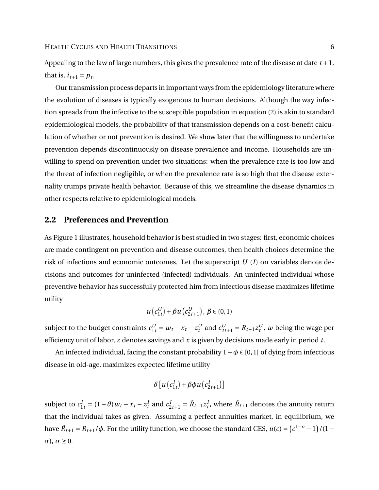Appealing to the law of large numbers, this gives the prevalence rate of the disease at date *t* +1, that is,  $i_{t+1} = p_t$ .

Our transmission process departs in important ways from the epidemiology literature where the evolution of diseases is typically exogenous to human decisions. Although the way infection spreads from the infective to the susceptible population in equation (2) is akin to standard epidemiological models, the probability of that transmission depends on a cost-benefit calculation of whether or not prevention is desired. We show later that the willingness to undertake prevention depends discontinuously on disease prevalence and income. Households are unwilling to spend on prevention under two situations: when the prevalence rate is too low and the threat of infection negligible, or when the prevalence rate is so high that the disease externality trumps private health behavior. Because of this, we streamline the disease dynamics in other respects relative to epidemiological models.

### **2.2 Preferences and Prevention**

As Figure 1 illustrates, household behavior is best studied in two stages: first, economic choices are made contingent on prevention and disease outcomes, then health choices determine the risk of infections and economic outcomes. Let the superscript *U* (*I*) on variables denote decisions and outcomes for uninfected (infected) individuals. An uninfected individual whose preventive behavior has successfully protected him from infectious disease maximizes lifetime utility

$$
u(c_{1t}^{U}) + \beta u(c_{2t+1}^{U}), \ \beta \in (0,1)
$$

subject to the budget constraints  $c_{1t}^U = w_t - x_t - z_t^U$  and  $c_{2t+1}^U = R_{t+1}z_t^U$ , w being the wage per efficiency unit of labor, *z* denotes savings and *x* is given by decisions made early in period *t*.

An infected individual, facing the constant probability 1−*φ* ∈ [0,1] of dying from infectious disease in old-age, maximizes expected lifetime utility

$$
\delta [u(c_{1t}^I) + \beta \phi u(c_{2t+1}^I)]
$$

subject to  $c_{1t}^I = (1 - \theta)w_t - x_t - z_t^I$  and  $c_{2t+1}^I = \hat{R}_{t+1}z_t^I$ , where  $\hat{R}_{t+1}$  denotes the annuity return that the individual takes as given. Assuming a perfect annuities market, in equilibrium, we have  $\hat{R}_{t+1} = R_{t+1}/\phi$ . For the utility function, we choose the standard CES,  $u(c) = (c^{1-\sigma}-1)/(1-\phi)$  $σ$ ,  $σ ≥ 0$ .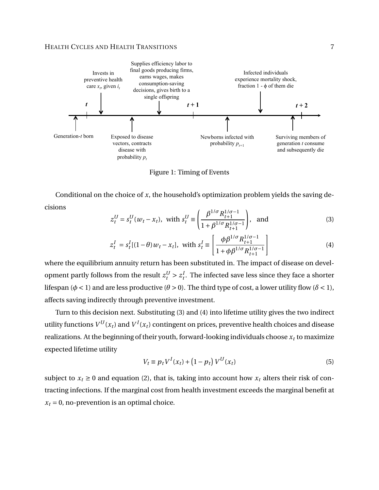

Figure 1: Timing of Events

Conditional on the choice of *x*, the household's optimization problem yields the saving decisions

$$
z_t^U = s_t^U(w_t - x_t), \text{ with } s_t^U \equiv \left(\frac{\beta^{1/\sigma} R_{t+1}^{1/\sigma - 1}}{1 + \beta^{1/\sigma} R_{t+1}^{1/\sigma - 1}}\right), \text{ and } (3)
$$

$$
z_t^I = s_t^I[(1-\theta)w_t - x_t], \text{ with } s_t^I \equiv \left[\frac{\phi\beta^{1/\sigma}R_{t+1}^{1/\sigma-1}}{1+\phi\beta^{1/\sigma}R_{t+1}^{1/\sigma-1}}\right] \tag{4}
$$

where the equilibrium annuity return has been substituted in. The impact of disease on development partly follows from the result  $z_t^U > z_t^I$ . The infected save less since they face a shorter lifespan ( $\phi$  < 1) and are less productive ( $\theta$  > 0). The third type of cost, a lower utility flow ( $\delta$  < 1), affects saving indirectly through preventive investment.

Turn to this decision next. Substituting (3) and (4) into lifetime utility gives the two indirect utility functions  $V^U(x_t)$  and  $V^I(x_t)$  contingent on prices, preventive health choices and disease realizations. At the beginning of their youth, forward-looking individuals choose  $x_t$  to maximize expected lifetime utility

$$
V_t \equiv p_t V^I(x_t) + (1 - p_t) V^U(x_t)
$$
\n(5)

subject to  $x_t \geq 0$  and equation (2), that is, taking into account how  $x_t$  alters their risk of contracting infections. If the marginal cost from health investment exceeds the marginal benefit at  $x_t = 0$ , no-prevention is an optimal choice.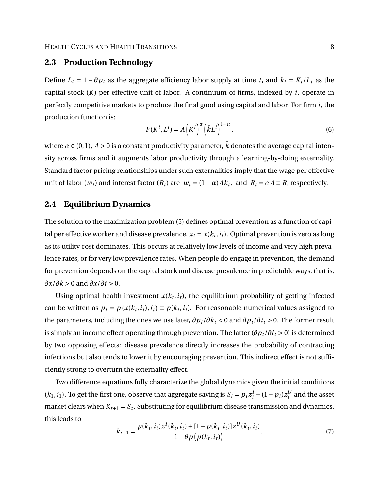### **2.3 Production Technology**

Define  $L_t = 1 - \theta p_t$  as the aggregate efficiency labor supply at time *t*, and  $k_t = K_t / L_t$  as the capital stock (*K*) per effective unit of labor. A continuum of firms, indexed by *i*, operate in perfectly competitive markets to produce the final good using capital and labor. For firm *i*, the production function is:

$$
F(K^i, L^i) = A\left(K^i\right)^\alpha \left(\bar{k}L^i\right)^{1-\alpha},\tag{6}
$$

where  $\alpha \in (0,1)$ ,  $A > 0$  is a constant productivity parameter,  $\overline{k}$  denotes the average capital intensity across firms and it augments labor productivity through a learning-by-doing externality. Standard factor pricing relationships under such externalities imply that the wage per effective unit of labor ( $w_t$ ) and interest factor ( $R_t$ ) are  $w_t = (1 - \alpha) Ak_t$ , and  $R_t = \alpha A \equiv R$ , respectively.

## **2.4 Equilibrium Dynamics**

The solution to the maximization problem (5) defines optimal prevention as a function of capital per effective worker and disease prevalence,  $x_t = x(k_t, i_t)$ . Optimal prevention is zero as long as its utility cost dominates. This occurs at relatively low levels of income and very high prevalence rates, or for very low prevalence rates. When people do engage in prevention, the demand for prevention depends on the capital stock and disease prevalence in predictable ways, that is, *∂x*/*∂k* > 0 and *∂x*/*∂i* > 0.

Using optimal health investment  $x(k_t, i_t)$ , the equilibrium probability of getting infected can be written as  $p_t = p(x(k_t, i_t), i_t) \equiv p(k_t, i_t)$ . For reasonable numerical values assigned to the parameters, including the ones we use later,  $\partial p_t / \partial k_t < 0$  and  $\partial p_t / \partial i_t > 0$ . The former result is simply an income effect operating through prevention. The latter  $(\partial p_t / \partial i_t > 0)$  is determined by two opposing effects: disease prevalence directly increases the probability of contracting infections but also tends to lower it by encouraging prevention. This indirect effect is not sufficiently strong to overturn the externality effect.

Two difference equations fully characterize the global dynamics given the initial conditions  $(k_1, i_1)$ . To get the first one, observe that aggregate saving is  $S_t = p_t z_t^I + (1 - p_t) z_t^U$  and the asset market clears when  $K_{t+1} = S_t$ . Substituting for equilibrium disease transmission and dynamics, this leads to

$$
k_{t+1} = \frac{p(k_t, i_t)z^I(k_t, i_t) + [1 - p(k_t, i_t)]z^U(k_t, i_t)}{1 - \theta p(p(k_t, i_t))}.
$$
\n<sup>(7)</sup>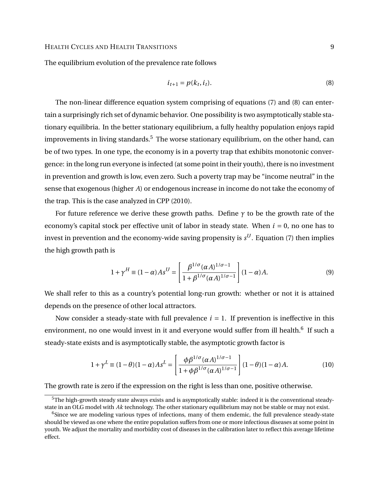The equilibrium evolution of the prevalence rate follows

$$
i_{t+1} = p(k_t, i_t). \tag{8}
$$

The non-linear difference equation system comprising of equations (7) and (8) can entertain a surprisingly rich set of dynamic behavior. One possibility is two asymptotically stable stationary equilibria. In the better stationary equilibrium, a fully healthy population enjoys rapid improvements in living standards.<sup>5</sup> The worse stationary equilibrium, on the other hand, can be of two types. In one type, the economy is in a poverty trap that exhibits monotonic convergence: in the long run everyone is infected (at some point in their youth), there is no investment in prevention and growth is low, even zero. Such a poverty trap may be "income neutral" in the sense that exogenous (higher *A*) or endogenous increase in income do not take the economy of the trap. This is the case analyzed in CPP (2010).

For future reference we derive these growth paths. Define  $\gamma$  to be the growth rate of the economy's capital stock per effective unit of labor in steady state. When *i* = 0, no one has to invest in prevention and the economy-wide saving propensity is  $s^U$ . Equation (7) then implies the high growth path is

$$
1 + \gamma^H \equiv (1 - \alpha)As^U = \left[\frac{\beta^{1/\sigma}(\alpha A)^{1/\sigma - 1}}{1 + \beta^{1/\sigma}(\alpha A)^{1/\sigma - 1}}\right] (1 - \alpha)A. \tag{9}
$$

We shall refer to this as a country's potential long-run growth: whether or not it is attained depends on the presence of other local attractors.

Now consider a steady-state with full prevalence  $i = 1$ . If prevention is ineffective in this environment, no one would invest in it and everyone would suffer from ill health. $^6$  If such a steady-state exists and is asymptotically stable, the asymptotic growth factor is

$$
1 + \gamma^L \equiv (1 - \theta)(1 - \alpha)As^L = \left[\frac{\phi \beta^{1/\sigma}(\alpha A)^{1/\sigma - 1}}{1 + \phi \beta^{1/\sigma}(\alpha A)^{1/\sigma - 1}}\right] (1 - \theta)(1 - \alpha)A. \tag{10}
$$

The growth rate is zero if the expression on the right is less than one, positive otherwise.

<sup>5</sup>The high-growth steady state always exists and is asymptotically stable: indeed it is the conventional steadystate in an OLG model with *Ak* technology. The other stationary equilibrium may not be stable or may not exist.

 $6$ Since we are modeling various types of infections, many of them endemic, the full prevalence steady-state should be viewed as one where the entire population suffers from one or more infectious diseases at some point in youth. We adjust the mortality and morbidity cost of diseases in the calibration later to reflect this average lifetime effect.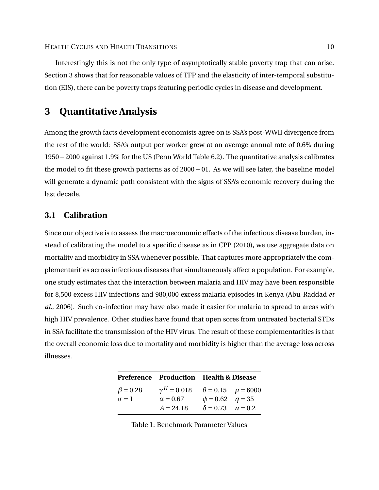Interestingly this is not the only type of asymptotically stable poverty trap that can arise. Section 3 shows that for reasonable values of TFP and the elasticity of inter-temporal substitution (EIS), there can be poverty traps featuring periodic cycles in disease and development.

## **3 Quantitative Analysis**

Among the growth facts development economists agree on is SSA's post-WWII divergence from the rest of the world: SSA's output per worker grew at an average annual rate of 0.6% during 1950−2000 against 1.9% for the US (Penn World Table 6.2). The quantitative analysis calibrates the model to fit these growth patterns as of  $2000 - 01$ . As we will see later, the baseline model will generate a dynamic path consistent with the signs of SSA's economic recovery during the last decade.

## **3.1 Calibration**

Since our objective is to assess the macroeconomic effects of the infectious disease burden, instead of calibrating the model to a specific disease as in CPP (2010), we use aggregate data on mortality and morbidity in SSA whenever possible. That captures more appropriately the complementarities across infectious diseases that simultaneously affect a population. For example, one study estimates that the interaction between malaria and HIV may have been responsible for 8,500 excess HIV infections and 980,000 excess malaria episodes in Kenya (Abu-Raddad *et al.*, 2006). Such co-infection may have also made it easier for malaria to spread to areas with high HIV prevalence. Other studies have found that open sores from untreated bacterial STDs in SSA facilitate the transmission of the HIV virus. The result of these complementarities is that the overall economic loss due to mortality and morbidity is higher than the average loss across illnesses.

|                |                                                 | Preference Production Health & Disease |  |
|----------------|-------------------------------------------------|----------------------------------------|--|
| $\beta = 0.28$ | $\gamma^H = 0.018$ $\theta = 0.15$ $\mu = 6000$ |                                        |  |
| $\sigma = 1$   | $\alpha = 0.67$                                 | $\phi = 0.62$ $q = 35$                 |  |
|                | $A = 24.18$                                     | $\delta = 0.73$ $a = 0.2$              |  |

Table 1: Benchmark Parameter Values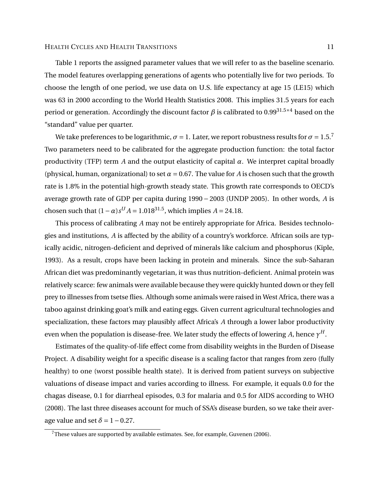Table 1 reports the assigned parameter values that we will refer to as the baseline scenario. The model features overlapping generations of agents who potentially live for two periods. To choose the length of one period, we use data on U.S. life expectancy at age 15 (LE15) which was 63 in 2000 according to the World Health Statistics 2008. This implies 31.5 years for each period or generation. Accordingly the discount factor  $\beta$  is calibrated to 0.99<sup>31.5×4</sup> based on the "standard" value per quarter.

We take preferences to be logarithmic,  $\sigma = 1$ . Later, we report robustness results for  $\sigma = 1.5$ .<sup>7</sup> Two parameters need to be calibrated for the aggregate production function: the total factor productivity (TFP) term *A* and the output elasticity of capital  $\alpha$ . We interpret capital broadly (physical, human, organizational) to set  $\alpha$  = 0.67. The value for *A* is chosen such that the growth rate is 1.8% in the potential high-growth steady state. This growth rate corresponds to OECD's average growth rate of GDP per capita during 1990 − 2003 (UNDP 2005). In other words, *A* is chosen such that  $(1 - \alpha)s^{U} A = 1.018^{31.5}$ , which implies *A* = 24.18.

This process of calibrating *A* may not be entirely appropriate for Africa. Besides technologies and institutions, *A* is affected by the ability of a country's workforce. African soils are typically acidic, nitrogen-deficient and deprived of minerals like calcium and phosphorus (Kiple, 1993). As a result, crops have been lacking in protein and minerals. Since the sub-Saharan African diet was predominantly vegetarian, it was thus nutrition-deficient. Animal protein was relatively scarce: few animals were available because they were quickly hunted down or they fell prey to illnesses from tsetse flies. Although some animals were raised in West Africa, there was a taboo against drinking goat's milk and eating eggs. Given current agricultural technologies and specialization, these factors may plausibly affect Africa's *A* through a lower labor productivity even when the population is disease-free. We later study the effects of lowering *A*, hence  $\gamma^H$ .

Estimates of the quality-of-life effect come from disability weights in the Burden of Disease Project. A disability weight for a specific disease is a scaling factor that ranges from zero (fully healthy) to one (worst possible health state). It is derived from patient surveys on subjective valuations of disease impact and varies according to illness. For example, it equals 0.0 for the chagas disease, 0.1 for diarrheal episodes, 0.3 for malaria and 0.5 for AIDS according to WHO (2008). The last three diseases account for much of SSA's disease burden, so we take their average value and set  $\delta = 1 - 0.27$ .

 $7$ These values are supported by available estimates. See, for example, Guvenen (2006).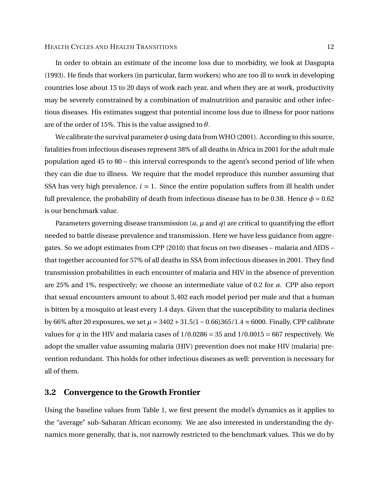In order to obtain an estimate of the income loss due to morbidity, we look at Dasgupta (1993). He finds that workers (in particular, farm workers) who are too ill to work in developing countries lose about 15 to 20 days of work each year, and when they are at work, productivity may be severely constrained by a combination of malnutrition and parasitic and other infectious diseases. His estimates suggest that potential income loss due to illness for poor nations are of the order of 15%. This is the value assigned to *θ*.

We calibrate the survival parameter  $\phi$  using data from WHO (2001). According to this source, fatalities from infectious diseases represent 38% of all deaths in Africa in 2001 for the adult male population aged 45 to 80 – this interval corresponds to the agent's second period of life when they can die due to illness. We require that the model reproduce this number assuming that SSA has very high prevalence,  $i \approx 1$ . Since the entire population suffers from ill health under full prevalence, the probability of death from infectious disease has to be 0.38. Hence  $\phi = 0.62$ is our benchmark value.

Parameters governing disease transmission (*a*, *µ* and *q*) are critical to quantifying the effort needed to battle disease prevalence and transmission. Here we have less guidance from aggregates. So we adopt estimates from CPP (2010) that focus on two diseases – malaria and AIDS – that together accounted for 57% of all deaths in SSA from infectious diseases in 2001. They find transmission probabilities in each encounter of malaria and HIV in the absence of prevention are 25% and 1%, respectively; we choose an intermediate value of 0.2 for *a*. CPP also report that sexual encounters amount to about 3, 402 each model period per male and that a human is bitten by a mosquito at least every 1.4 days. Given that the susceptibility to malaria declines by 66% after 20 exposures, we set *µ* = 3402+31.5(1−0.66)365/1.4 ≈ 6000. Finally, CPP calibrate values for *q* in the HIV and malaria cases of  $1/0.0286 = 35$  and  $1/0.0015 = 667$  respectively. We adopt the smaller value assuming malaria (HIV) prevention does not make HIV (malaria) prevention redundant. This holds for other infectious diseases as well: prevention is necessary for all of them.

### **3.2 Convergence to the Growth Frontier**

Using the baseline values from Table 1, we first present the model's dynamics as it applies to the "average" sub-Saharan African economy. We are also interested in understanding the dynamics more generally, that is, not narrowly restricted to the benchmark values. This we do by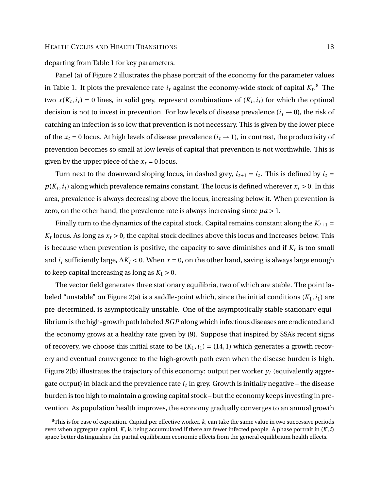departing from Table 1 for key parameters.

Panel (a) of Figure 2 illustrates the phase portrait of the economy for the parameter values in Table 1. It plots the prevalence rate  $i_t$  against the economy-wide stock of capital  $K_t.^\text{8}$  The two  $x(K_t, i_t) = 0$  lines, in solid grey, represent combinations of  $(K_t, i_t)$  for which the optimal decision is not to invest in prevention. For low levels of disease prevalence ( $i<sub>t</sub> \rightarrow 0$ ), the risk of catching an infection is so low that prevention is not necessary. This is given by the lower piece of the  $x_t = 0$  locus. At high levels of disease prevalence  $(i_t \rightarrow 1)$ , in contrast, the productivity of prevention becomes so small at low levels of capital that prevention is not worthwhile. This is given by the upper piece of the  $x_t = 0$  locus.

Turn next to the downward sloping locus, in dashed grey,  $i_{t+1} = i_t$ . This is defined by  $i_t$  $p(K_t, i_t)$  along which prevalence remains constant. The locus is defined wherever  $x_t > 0$ . In this area, prevalence is always decreasing above the locus, increasing below it. When prevention is zero, on the other hand, the prevalence rate is always increasing since  $\mu a > 1$ .

Finally turn to the dynamics of the capital stock. Capital remains constant along the  $K_{t+1}$  =  $K_t$  locus. As long as  $x_t > 0$ , the capital stock declines above this locus and increases below. This is because when prevention is positive, the capacity to save diminishes and if  $K_t$  is too small and *i<sup>t</sup>* sufficiently large, ∆*K<sup>t</sup>* < 0. When *x* = 0, on the other hand, saving is always large enough to keep capital increasing as long as  $K_1 > 0$ .

The vector field generates three stationary equilibria, two of which are stable. The point labeled "unstable" on Figure 2(a) is a saddle-point which, since the initial conditions  $(K_1, i_1)$  are pre-determined, is asymptotically unstable. One of the asymptotically stable stationary equilibrium is the high-growth path labeled *BGP* along which infectious diseases are eradicated and the economy grows at a healthy rate given by (9). Suppose that inspired by SSA's recent signs of recovery, we choose this initial state to be  $(K_1, i_1) = (14, 1)$  which generates a growth recovery and eventual convergence to the high-growth path even when the disease burden is high. Figure 2(b) illustrates the trajectory of this economy: output per worker  $y_t$  (equivalently aggregate output) in black and the prevalence rate  $i_t$  in grey. Growth is initially negative – the disease burden is too high to maintain a growing capital stock – but the economy keeps investing in prevention. As population health improves, the economy gradually converges to an annual growth

<sup>8</sup>This is for ease of exposition. Capital per effective worker, *k*, can take the same value in two successive periods even when aggregate capital, *K*, is being accumulated if there are fewer infected people. A phase portrait in (*K*,*i*) space better distinguishes the partial equilibrium economic effects from the general equilibrium health effects.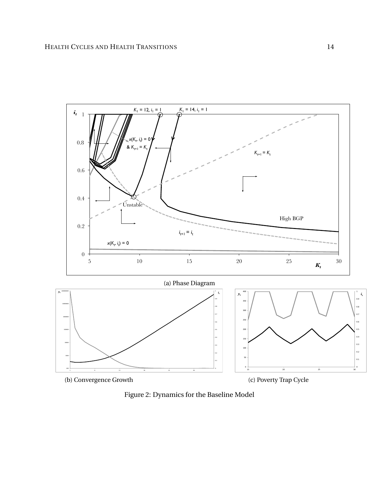

Figure 2: Dynamics for the Baseline Model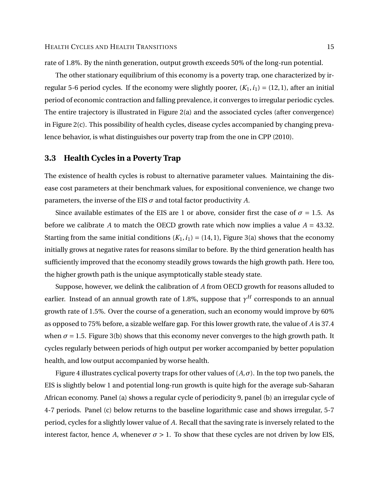rate of 1.8%. By the ninth generation, output growth exceeds 50% of the long-run potential.

The other stationary equilibrium of this economy is a poverty trap, one characterized by irregular 5-6 period cycles. If the economy were slightly poorer,  $(K_1, i_1) = (12, 1)$ , after an initial period of economic contraction and falling prevalence, it converges to irregular periodic cycles. The entire trajectory is illustrated in Figure 2(a) and the associated cycles (after convergence) in Figure 2(c). This possibility of health cycles, disease cycles accompanied by changing prevalence behavior, is what distinguishes our poverty trap from the one in CPP (2010).

### **3.3 Health Cycles in a Poverty Trap**

The existence of health cycles is robust to alternative parameter values. Maintaining the disease cost parameters at their benchmark values, for expositional convenience, we change two parameters, the inverse of the EIS  $\sigma$  and total factor productivity  $A$ .

Since available estimates of the EIS are 1 or above, consider first the case of  $\sigma = 1.5$ . As before we calibrate *A* to match the OECD growth rate which now implies a value  $A = 43.32$ . Starting from the same initial conditions  $(K_1, i_1) = (14, 1)$ , Figure 3(a) shows that the economy initially grows at negative rates for reasons similar to before. By the third generation health has sufficiently improved that the economy steadily grows towards the high growth path. Here too, the higher growth path is the unique asymptotically stable steady state.

Suppose, however, we delink the calibration of *A* from OECD growth for reasons alluded to earlier. Instead of an annual growth rate of 1.8%, suppose that  $\gamma^H$  corresponds to an annual growth rate of 1.5%. Over the course of a generation, such an economy would improve by 60% as opposed to 75% before, a sizable welfare gap. For this lower growth rate, the value of *A* is 37.4 when  $\sigma$  = 1.5. Figure 3(b) shows that this economy never converges to the high growth path. It cycles regularly between periods of high output per worker accompanied by better population health, and low output accompanied by worse health.

Figure 4 illustrates cyclical poverty traps for other values of  $(A, \sigma)$ . In the top two panels, the EIS is slightly below 1 and potential long-run growth is quite high for the average sub-Saharan African economy. Panel (a) shows a regular cycle of periodicity 9, panel (b) an irregular cycle of 4-7 periods. Panel (c) below returns to the baseline logarithmic case and shows irregular, 5-7 period, cycles for a slightly lower value of *A*. Recall that the saving rate is inversely related to the interest factor, hence *A*, whenever  $\sigma > 1$ . To show that these cycles are not driven by low EIS,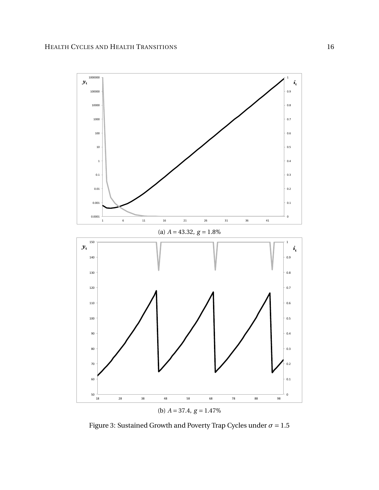

Figure 3: Sustained Growth and Poverty Trap Cycles under  $\sigma = 1.5$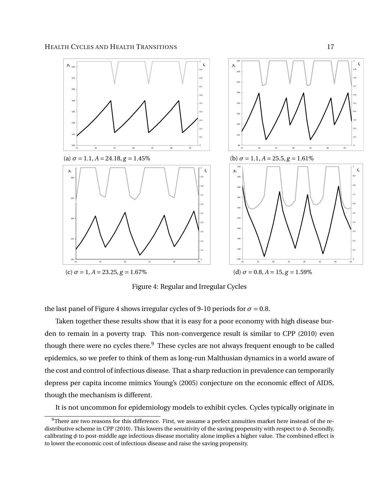

Figure 4: Regular and Irregular Cycles

the last panel of Figure 4 shows irregular cycles of 9-10 periods for  $\sigma = 0.8$ .

Taken together these results show that it is easy for a poor economy with high disease burden to remain in a poverty trap. This non-convergence result is similar to CPP (2010) even though there were no cycles there.<sup>9</sup> These cycles are not always frequent enough to be called epidemics, so we prefer to think of them as long-run Malthusian dynamics in a world aware of the cost and control of infectious disease. That a sharp reduction in prevalence can temporarily depress per capita income mimics Young's (2005) conjecture on the economic effect of AIDS, though the mechanism is different.

It is not uncommon for epidemiology models to exhibit cycles. Cycles typically originate in

 $9$ There are two reasons for this difference. First, we assume a perfect annuities market here instead of the redistributive scheme in CPP (2010). This lowers the sensitivity of the saving propensity with respect to *φ*. Secondly, calibrating *φ* to post-middle age infectious disease mortality alone implies a higher value. The combined effect is to lower the economic cost of infectious disease and raise the saving propensity.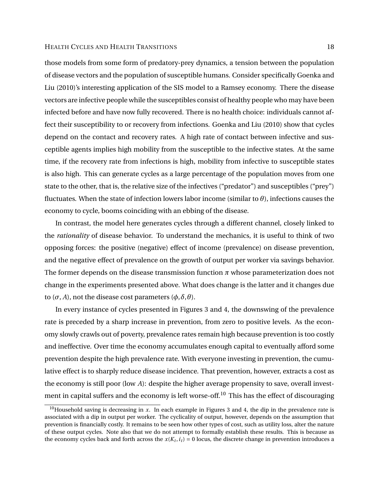those models from some form of predatory-prey dynamics, a tension between the population of disease vectors and the population of susceptible humans. Consider specifically Goenka and Liu (2010)'s interesting application of the SIS model to a Ramsey economy. There the disease vectors are infective people while the susceptibles consist of healthy people who may have been infected before and have now fully recovered. There is no health choice: individuals cannot affect their susceptibility to or recovery from infections. Goenka and Liu (2010) show that cycles depend on the contact and recovery rates. A high rate of contact between infective and susceptible agents implies high mobility from the susceptible to the infective states. At the same time, if the recovery rate from infections is high, mobility from infective to susceptible states is also high. This can generate cycles as a large percentage of the population moves from one state to the other, that is, the relative size of the infectives ("predator") and susceptibles ("prey") fluctuates. When the state of infection lowers labor income (similar to *θ*), infections causes the economy to cycle, booms coinciding with an ebbing of the disease.

In contrast, the model here generates cycles through a different channel, closely linked to the *rationality* of disease behavior. To understand the mechanics, it is useful to think of two opposing forces: the positive (negative) effect of income (prevalence) on disease prevention, and the negative effect of prevalence on the growth of output per worker via savings behavior. The former depends on the disease transmission function  $\pi$  whose parameterization does not change in the experiments presented above. What does change is the latter and it changes due to (*σ*, *A*), not the disease cost parameters (*φ*,*δ*,*θ*).

In every instance of cycles presented in Figures 3 and 4, the downswing of the prevalence rate is preceded by a sharp increase in prevention, from zero to positive levels. As the economy slowly crawls out of poverty, prevalence rates remain high because prevention is too costly and ineffective. Over time the economy accumulates enough capital to eventually afford some prevention despite the high prevalence rate. With everyone investing in prevention, the cumulative effect is to sharply reduce disease incidence. That prevention, however, extracts a cost as the economy is still poor (low *A*): despite the higher average propensity to save, overall investment in capital suffers and the economy is left worse-off.<sup>10</sup> This has the effect of discouraging

<sup>&</sup>lt;sup>10</sup>Household saving is decreasing in  $x$ . In each example in Figures 3 and 4, the dip in the prevalence rate is associated with a dip in output per worker. The cyclicality of output, however, depends on the assumption that prevention is financially costly. It remains to be seen how other types of cost, such as utility loss, alter the nature of these output cycles. Note also that we do not attempt to formally establish these results. This is because as the economy cycles back and forth across the  $x(K_t, i_t) = 0$  locus, the discrete change in prevention introduces a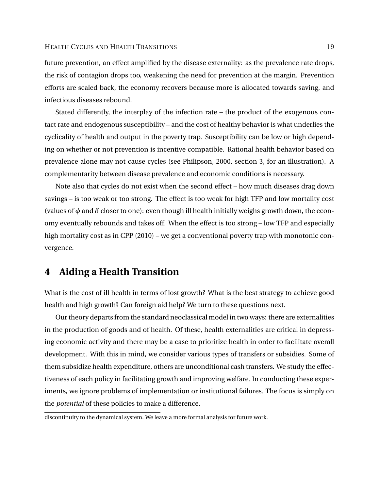future prevention, an effect amplified by the disease externality: as the prevalence rate drops, the risk of contagion drops too, weakening the need for prevention at the margin. Prevention efforts are scaled back, the economy recovers because more is allocated towards saving, and infectious diseases rebound.

Stated differently, the interplay of the infection rate – the product of the exogenous contact rate and endogenous susceptibility – and the cost of healthy behavior is what underlies the cyclicality of health and output in the poverty trap. Susceptibility can be low or high depending on whether or not prevention is incentive compatible. Rational health behavior based on prevalence alone may not cause cycles (see Philipson, 2000, section 3, for an illustration). A complementarity between disease prevalence and economic conditions is necessary.

Note also that cycles do not exist when the second effect – how much diseases drag down savings – is too weak or too strong. The effect is too weak for high TFP and low mortality cost (values of  $\phi$  and  $\delta$  closer to one): even though ill health initially weighs growth down, the economy eventually rebounds and takes off. When the effect is too strong – low TFP and especially high mortality cost as in CPP (2010) – we get a conventional poverty trap with monotonic convergence.

## **4 Aiding a Health Transition**

What is the cost of ill health in terms of lost growth? What is the best strategy to achieve good health and high growth? Can foreign aid help? We turn to these questions next.

Our theory departs from the standard neoclassical model in two ways: there are externalities in the production of goods and of health. Of these, health externalities are critical in depressing economic activity and there may be a case to prioritize health in order to facilitate overall development. With this in mind, we consider various types of transfers or subsidies. Some of them subsidize health expenditure, others are unconditional cash transfers. We study the effectiveness of each policy in facilitating growth and improving welfare. In conducting these experiments, we ignore problems of implementation or institutional failures. The focus is simply on the *potential* of these policies to make a difference.

discontinuity to the dynamical system. We leave a more formal analysis for future work.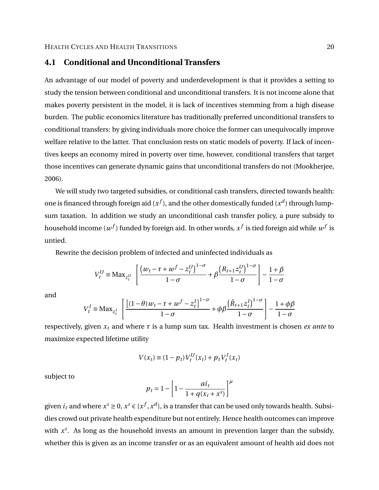## **4.1 Conditional and Unconditional Transfers**

An advantage of our model of poverty and underdevelopment is that it provides a setting to study the tension between conditional and unconditional transfers. It is not income alone that makes poverty persistent in the model, it is lack of incentives stemming from a high disease burden. The public economics literature has traditionally preferred unconditional transfers to conditional transfers: by giving individuals more choice the former can unequivocally improve welfare relative to the latter. That conclusion rests on static models of poverty. If lack of incentives keeps an economy mired in poverty over time, however, conditional transfers that target those incentives can generate dynamic gains that unconditional transfers do not (Mookherjee, 2006).

We will study two targeted subsidies, or conditional cash transfers, directed towards health: one is financed through foreign aid ( $x^f$ ), and the other domestically funded ( $x^d$ ) through lumpsum taxation. In addition we study an unconditional cash transfer policy, a pure subsidy to household income  $(w^f)$  funded by foreign aid. In other words,  $x^f$  is tied foreign aid while  $w^f$  is untied.

Rewrite the decision problem of infected and uninfected individuals as

$$
V_t^U \equiv \text{Max}_{z_t^U} \left[ \frac{\left( w_t - \tau + w^f - z_t^U \right)^{1-\sigma}}{1-\sigma} + \beta \frac{\left( R_{t+1} z_t^U \right)^{1-\sigma}}{1-\sigma} \right] - \frac{1+\beta}{1-\sigma}
$$

and

$$
V_t^I \equiv \text{Max}_{z_t^I} \left[ \frac{\left[ (1-\theta)w_t - \tau + w^f - z_t^I \right]^{1-\sigma}}{1-\sigma} + \phi \beta \frac{\left( \hat{R}_{t+1} z_t^I \right)^{1-\sigma}}{1-\sigma} \right] - \frac{1+\phi \beta}{1-\sigma}
$$

respectively, given *x<sup>t</sup>* and where *τ* is a lump sum tax. Health investment is chosen *ex ante* to maximize expected lifetime utility

$$
V(x_t) \equiv (1 - p_t) V_t^U(x_t) + p_t V_t^I(x_t)
$$

subject to

$$
p_t = 1 - \left[1 - \frac{ai_t}{1 + q(x_t + x^s)}\right]^{\mu}
$$

given  $i_t$  and where  $x^s \ge 0$ ,  $x^s \in \{x^f, x^d\}$ , is a transfer that can be used only towards health. Subsidies crowd out private health expenditure but not entirely. Hence health outcomes can improve with  $x<sup>s</sup>$ . As long as the household invests an amount in prevention larger than the subsidy, whether this is given as an income transfer or as an equivalent amount of health aid does not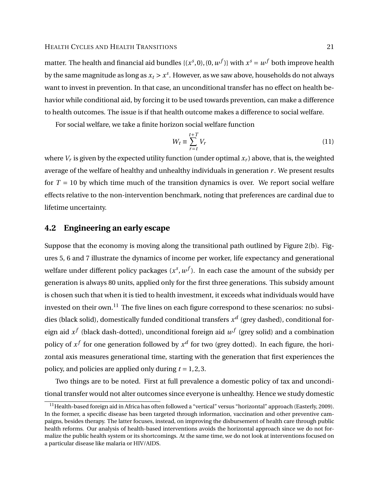matter. The health and financial aid bundles {( $x^s, 0$ ), (0,  $w^f$ )} with  $x^s = w^f$  both improve health by the same magnitude as long as  $x_t > x^s$ . However, as we saw above, households do not always want to invest in prevention. In that case, an unconditional transfer has no effect on health behavior while conditional aid, by forcing it to be used towards prevention, can make a difference to health outcomes. The issue is if that health outcome makes a difference to social welfare.

For social welfare, we take a finite horizon social welfare function

$$
W_t \equiv \sum_{r=t}^{t+T} V_r \tag{11}
$$

where  $V_r$  is given by the expected utility function (under optimal  $x_r$ ) above, that is, the weighted average of the welfare of healthy and unhealthy individuals in generation  $r$ . We present results for  $T = 10$  by which time much of the transition dynamics is over. We report social welfare effects relative to the non-intervention benchmark, noting that preferences are cardinal due to lifetime uncertainty.

## **4.2 Engineering an early escape**

Suppose that the economy is moving along the transitional path outlined by Figure 2(b). Figures 5, 6 and 7 illustrate the dynamics of income per worker, life expectancy and generational welfare under different policy packages  $(x^s, w^f)$ . In each case the amount of the subsidy per generation is always 80 units, applied only for the first three generations. This subsidy amount is chosen such that when it is tied to health investment, it exceeds what individuals would have invested on their own.<sup>11</sup> The five lines on each figure correspond to these scenarios: no subsidies (black solid), domestically funded conditional transfers  $x^d$  (grey dashed), conditional foreign aid  $x^f$  (black dash-dotted), unconditional foreign aid  $w^f$  (grey solid) and a combination policy of  $x^f$  for one generation followed by  $x^d$  for two (grey dotted). In each figure, the horizontal axis measures generational time, starting with the generation that first experiences the policy, and policies are applied only during *t* = 1, 2, 3.

Two things are to be noted. First at full prevalence a domestic policy of tax and unconditional transfer would not alter outcomes since everyone is unhealthy. Hence we study domestic

 $11$ Health-based foreign aid in Africa has often followed a "vertical" versus "horizontal" approach (Easterly, 2009). In the former, a specific disease has been targeted through information, vaccination and other preventive campaigns, besides therapy. The latter focuses, instead, on improving the disbursement of health care through public health reforms. Our analysis of health-based interventions avoids the horizontal approach since we do not formalize the public health system or its shortcomings. At the same time, we do not look at interventions focused on a particular disease like malaria or HIV/AIDS.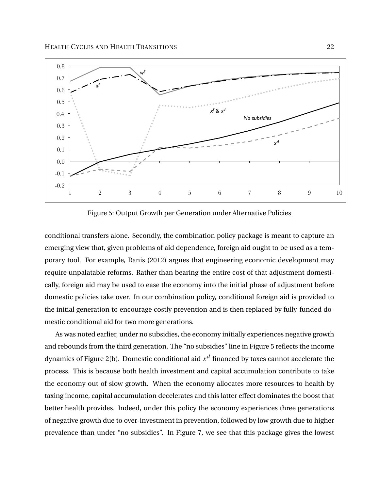

Figure 5: Output Growth per Generation under Alternative Policies

conditional transfers alone. Secondly, the combination policy package is meant to capture an emerging view that, given problems of aid dependence, foreign aid ought to be used as a temporary tool. For example, Ranis (2012) argues that engineering economic development may require unpalatable reforms. Rather than bearing the entire cost of that adjustment domestically, foreign aid may be used to ease the economy into the initial phase of adjustment before domestic policies take over. In our combination policy, conditional foreign aid is provided to the initial generation to encourage costly prevention and is then replaced by fully-funded domestic conditional aid for two more generations.

As was noted earlier, under no subsidies, the economy initially experiences negative growth and rebounds from the third generation. The "no subsidies" line in Figure 5 reflects the income dynamics of Figure 2(b). Domestic conditional aid  $x^d$  financed by taxes cannot accelerate the process. This is because both health investment and capital accumulation contribute to take the economy out of slow growth. When the economy allocates more resources to health by taxing income, capital accumulation decelerates and this latter effect dominates the boost that better health provides. Indeed, under this policy the economy experiences three generations of negative growth due to over-investment in prevention, followed by low growth due to higher prevalence than under "no subsidies". In Figure 7, we see that this package gives the lowest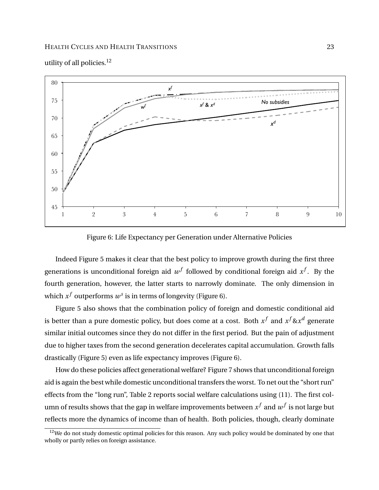

utility of all policies. $12$ 

Figure 6: Life Expectancy per Generation under Alternative Policies

Indeed Figure 5 makes it clear that the best policy to improve growth during the first three generations is unconditional foreign aid  $w^f$  followed by conditional foreign aid  $x^f$ . By the fourth generation, however, the latter starts to narrowly dominate. The only dimension in which  $x^f$  outperforms  $w^s$  is in terms of longevity (Figure 6).

Figure 5 also shows that the combination policy of foreign and domestic conditional aid is better than a pure domestic policy, but does come at a cost. Both  $x^f$  and  $x^f$ & $x^d$  generate similar initial outcomes since they do not differ in the first period. But the pain of adjustment due to higher taxes from the second generation decelerates capital accumulation. Growth falls drastically (Figure 5) even as life expectancy improves (Figure 6).

How do these policies affect generational welfare? Figure 7 shows that unconditional foreign aid is again the best while domestic unconditional transfers the worst. To net out the "short run" effects from the "long run", Table 2 reports social welfare calculations using (11). The first column of results shows that the gap in welfare improvements between  $x^f$  and  $w^f$  is not large but reflects more the dynamics of income than of health. Both policies, though, clearly dominate

<sup>&</sup>lt;sup>12</sup>We do not study domestic optimal policies for this reason. Any such policy would be dominated by one that wholly or partly relies on foreign assistance.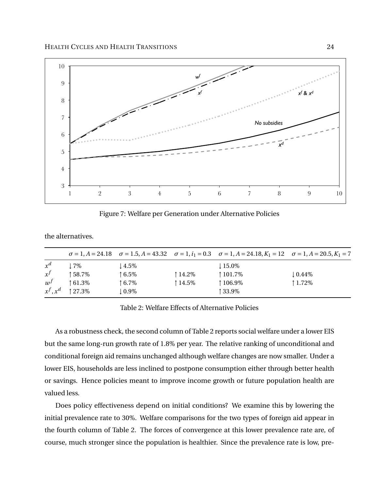

Figure 7: Welfare per Generation under Alternative Policies

the alternatives.

|       |                       |          |         | $\sigma = 1, A = 24.18$ $\sigma = 1.5, A = 43.32$ $\sigma = 1, i_1 = 0.3$ $\sigma = 1, A = 24.18, K_1 = 12$ $\sigma = 1, A = 20.5, K_1 = 7$ |                    |
|-------|-----------------------|----------|---------|---------------------------------------------------------------------------------------------------------------------------------------------|--------------------|
| $x^d$ | ! 7%                  | ! 4.5%   |         | $115.0\%$                                                                                                                                   |                    |
| $x^f$ | ↑58.7%                | ↑6.5%    | ↑14.2%  | ↑ 101.7%                                                                                                                                    | $\downarrow$ 0.44% |
| $w^f$ | $\uparrow 61.3\%$     | ↑6.7%    | ↑ 14.5% | ↑106.9%                                                                                                                                     | ↑1.72%             |
|       | $x^f$ , $x^d$   27.3% | $10.9\%$ |         | ↑33.9%                                                                                                                                      |                    |

Table 2: Welfare Effects of Alternative Policies

As a robustness check, the second column of Table 2 reports social welfare under a lower EIS but the same long-run growth rate of 1.8% per year. The relative ranking of unconditional and conditional foreign aid remains unchanged although welfare changes are now smaller. Under a lower EIS, households are less inclined to postpone consumption either through better health or savings. Hence policies meant to improve income growth or future population health are valued less.

Does policy effectiveness depend on initial conditions? We examine this by lowering the initial prevalence rate to 30%. Welfare comparisons for the two types of foreign aid appear in the fourth column of Table 2. The forces of convergence at this lower prevalence rate are, of course, much stronger since the population is healthier. Since the prevalence rate is low, pre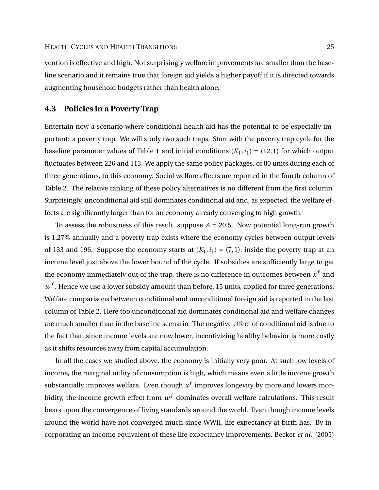vention is effective and high. Not surprisingly welfare improvements are smaller than the baseline scenario and it remains true that foreign aid yields a higher payoff if it is directed towards augmenting household budgets rather than health alone.

## **4.3 Policies in a Poverty Trap**

Entertain now a scenario where conditional health aid has the potential to be especially important: a poverty trap. We will study two such traps. Start with the poverty trap cycle for the baseline parameter values of Table 1 and initial conditions  $(K_1, i_1) = (12, 1)$  for which output fluctuates between 226 and 113. We apply the same policy packages, of 80 units during each of three generations, to this economy. Social welfare effects are reported in the fourth column of Table 2. The relative ranking of these policy alternatives is no different from the first column. Surprisingly, unconditional aid still dominates conditional aid and, as expected, the welfare effects are significantly larger than for an economy already converging to high growth.

To assess the robustness of this result, suppose  $A = 20.5$ . Now potential long-run growth is 1.27% annually and a poverty trap exists where the economy cycles between output levels of 133 and 196. Suppose the economy starts at  $(K_1, i_1) = (7, 1)$ , inside the poverty trap at an income level just above the lower bound of the cycle. If subsidies are sufficiently large to get the economy immediately out of the trap, there is no difference in outcomes between  $x^f$  and  $w<sup>f</sup>$ . Hence we use a lower subsidy amount than before, 15 units, applied for three generations. Welfare comparisons between conditional and unconditional foreign aid is reported in the last column of Table 2. Here too unconditional aid dominates conditional aid and welfare changes are much smaller than in the baseline scenario. The negative effect of conditional aid is due to the fact that, since income levels are now lower, incentivizing healthy behavior is more costly as it shifts resources away from capital accumulation.

In all the cases we studied above, the economy is initially very poor. At such low levels of income, the marginal utility of consumption is high, which means even a little income growth substantially improves welfare. Even though  $x^f$  improves longevity by more and lowers morbidity, the income growth effect from  $w^f$  dominates overall welfare calculations. This result bears upon the convergence of living standards around the world. Even though income levels around the world have not converged much since WWII, life expectancy at birth has. By incorporating an income equivalent of these life expectancy improvements, Becker *et al.* (2005)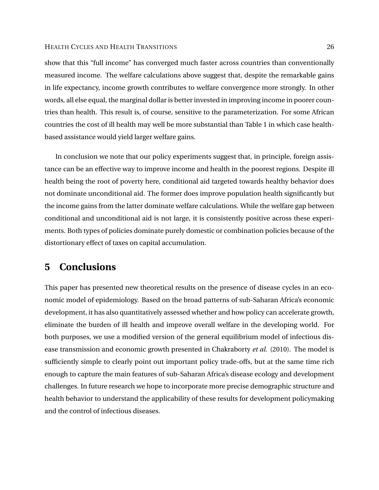show that this "full income" has converged much faster across countries than conventionally measured income. The welfare calculations above suggest that, despite the remarkable gains in life expectancy, income growth contributes to welfare convergence more strongly. In other words, all else equal, the marginal dollar is better invested in improving income in poorer countries than health. This result is, of course, sensitive to the parameterization. For some African countries the cost of ill health may well be more substantial than Table 1 in which case healthbased assistance would yield larger welfare gains.

In conclusion we note that our policy experiments suggest that, in principle, foreign assistance can be an effective way to improve income and health in the poorest regions. Despite ill health being the root of poverty here, conditional aid targeted towards healthy behavior does not dominate unconditional aid. The former does improve population health significantly but the income gains from the latter dominate welfare calculations. While the welfare gap between conditional and unconditional aid is not large, it is consistently positive across these experiments. Both types of policies dominate purely domestic or combination policies because of the distortionary effect of taxes on capital accumulation.

## **5 Conclusions**

This paper has presented new theoretical results on the presence of disease cycles in an economic model of epidemiology. Based on the broad patterns of sub-Saharan Africa's economic development, it has also quantitatively assessed whether and how policy can accelerate growth, eliminate the burden of ill health and improve overall welfare in the developing world. For both purposes, we use a modified version of the general equilibrium model of infectious disease transmission and economic growth presented in Chakraborty *et al.* (2010). The model is sufficiently simple to clearly point out important policy trade-offs, but at the same time rich enough to capture the main features of sub-Saharan Africa's disease ecology and development challenges. In future research we hope to incorporate more precise demographic structure and health behavior to understand the applicability of these results for development policymaking and the control of infectious diseases.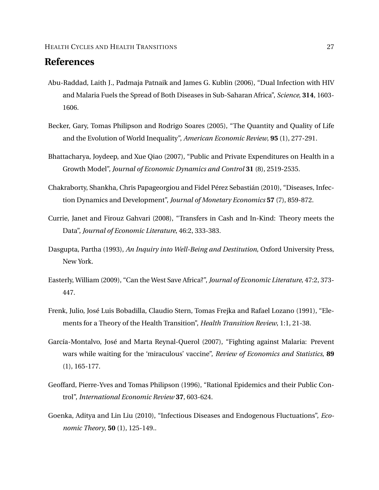## **References**

- Abu-Raddad, Laith J., Padmaja Patnaik and James G. Kublin (2006), "Dual Infection with HIV and Malaria Fuels the Spread of Both Diseases in Sub-Saharan Africa", *Science*, **314**, 1603- 1606.
- Becker, Gary, Tomas Philipson and Rodrigo Soares (2005), "The Quantity and Quality of Life and the Evolution of World Inequality", *American Economic Review*, **95** (1), 277-291.
- Bhattacharya, Joydeep, and Xue Qiao (2007), "Public and Private Expenditures on Health in a Growth Model", *Journal of Economic Dynamics and Control* **31** (8), 2519-2535.
- Chakraborty, Shankha, Chris Papageorgiou and Fidel Pérez Sebastián (2010), "Diseases, Infection Dynamics and Development", *Journal of Monetary Economics* **57** (7), 859-872.
- Currie, Janet and Firouz Gahvari (2008), "Transfers in Cash and In-Kind: Theory meets the Data", *Journal of Economic Literature*, 46:2, 333-383.
- Dasgupta, Partha (1993), *An Inquiry into Well-Being and Destitution*, Oxford University Press, New York.
- Easterly, William (2009), "Can the West Save Africa?", *Journal of Economic Literature*, 47:2, 373- 447.
- Frenk, Julio, José Luis Bobadilla, Claudio Stern, Tomas Frejka and Rafael Lozano (1991), "Elements for a Theory of the Health Transition", *Health Transition Review*, 1:1, 21-38.
- García-Montalvo, José and Marta Reynal-Querol (2007), "Fighting against Malaria: Prevent wars while waiting for the 'miraculous' vaccine", *Review of Economics and Statistics*, **89** (1), 165-177.
- Geoffard, Pierre-Yves and Tomas Philipson (1996), "Rational Epidemics and their Public Control", *International Economic Review* **37**, 603-624.
- Goenka, Aditya and Lin Liu (2010), "Infectious Diseases and Endogenous Fluctuations", *Economic Theory*, **50** (1), 125-149..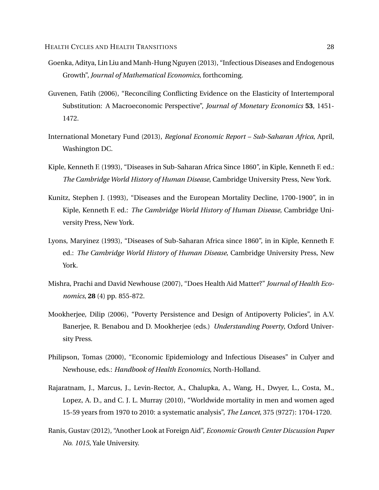- Goenka, Aditya, Lin Liu and Manh-Hung Nguyen (2013), "Infectious Diseases and Endogenous Growth", *Journal of Mathematical Economics*, forthcoming.
- Guvenen, Fatih (2006), "Reconciling Conflicting Evidence on the Elasticity of Intertemporal Substitution: A Macroeconomic Perspective", *Journal of Monetary Economics* **53**, 1451- 1472.
- International Monetary Fund (2013), *Regional Economic Report Sub-Saharan Africa*, April, Washington DC.
- Kiple, Kenneth F. (1993), "Diseases in Sub-Saharan Africa Since 1860", in Kiple, Kenneth F. ed.: *The Cambridge World History of Human Disease*, Cambridge University Press, New York.
- Kunitz, Stephen J. (1993), "Diseases and the European Mortality Decline, 1700-1900", in in Kiple, Kenneth F. ed.: *The Cambridge World History of Human Disease*, Cambridge University Press, New York.
- Lyons, Maryinez (1993), "Diseases of Sub-Saharan Africa since 1860", in in Kiple, Kenneth F. ed.: *The Cambridge World History of Human Disease*, Cambridge University Press, New York.
- Mishra, Prachi and David Newhouse (2007), "Does Health Aid Matter?" *Journal of Health Economics*, **28** (4) pp. 855-872.
- Mookherjee, Dilip (2006), "Poverty Persistence and Design of Antipoverty Policies", in A.V. Banerjee, R. Benabou and D. Mookherjee (eds.) *Understanding Poverty*, Oxford University Press.
- Philipson, Tomas (2000), "Economic Epidemiology and Infectious Diseases" in Culyer and Newhouse, eds.: *Handbook of Health Economics*, North-Holland.
- Rajaratnam, J., Marcus, J., Levin-Rector, A., Chalupka, A., Wang, H., Dwyer, L., Costa, M., Lopez, A. D., and C. J. L. Murray (2010), "Worldwide mortality in men and women aged 15-59 years from 1970 to 2010: a systematic analysis", *The Lancet*, 375 (9727): 1704-1720.
- Ranis, Gustav (2012), "Another Look at Foreign Aid", *Economic Growth Center Discussion Paper No. 1015*, Yale University.